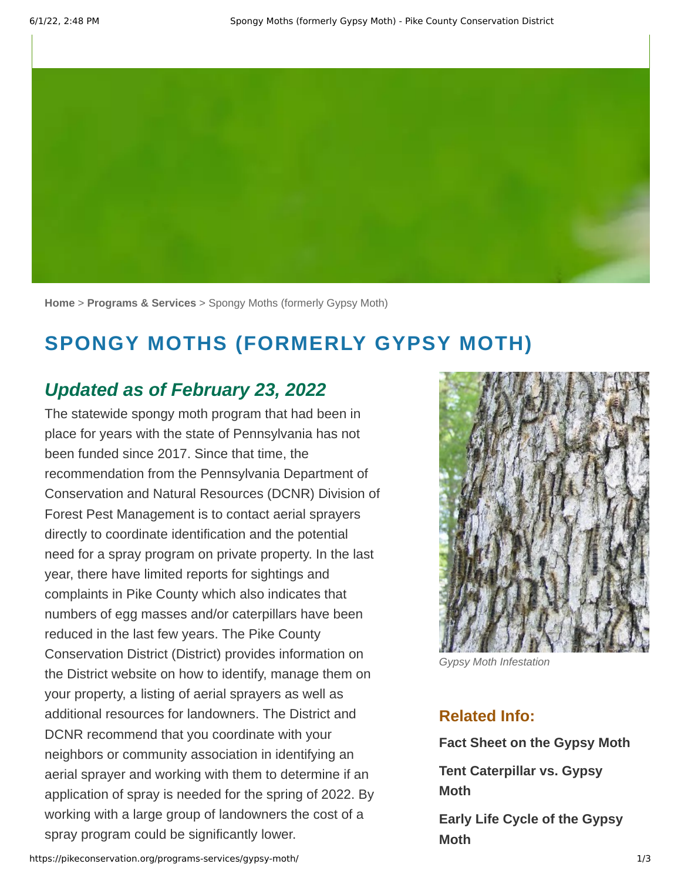

**[Home](https://pikeconservation.org/)** > **[Programs & Services](https://pikeconservation.org/programs-services/)** > Spongy Moths (formerly Gypsy Moth)

# **SPONGY MOTHS (FORMERLY GYPSY MOTH)**

#### *Updated as of February 23, 2022*

The statewide spongy moth program that had been in place for years with the state of Pennsylvania has not been funded since 2017. Since that time, the recommendation from the Pennsylvania Department of Conservation and Natural Resources (DCNR) Division of Forest Pest Management is to contact aerial sprayers directly to coordinate identification and the potential need for a spray program on private property. In the last year, there have limited reports for sightings and complaints in Pike County which also indicates that numbers of egg masses and/or caterpillars have been reduced in the last few years. The Pike County Conservation District (District) provides information on the District website on how to identify, manage them on your property, a listing of aerial sprayers as well as additional resources for landowners. The District and DCNR recommend that you coordinate with your neighbors or community association in identifying an aerial sprayer and working with them to determine if an application of spray is needed for the spring of 2022. By working with a large group of landowners the cost of a spray program could be significantly lower.



*Gypsy Moth Infestation*

#### **Related Info:**

**[Fact Sheet on the Gypsy Moth](https://pikeconservation.org/wp-content/uploads/Fact-sheet-GM-DCNR.pdf)**

**[Tent Caterpillar vs. Gypsy](https://pikeconservation.org/wp-content/uploads/tent-vs.-gypsy.pdf) Moth**

**[Early Life Cycle of the Gypsy](https://pikeconservation.org/wp-content/uploads/Early-Larval-Instars-GM-USFS.pdf) Moth**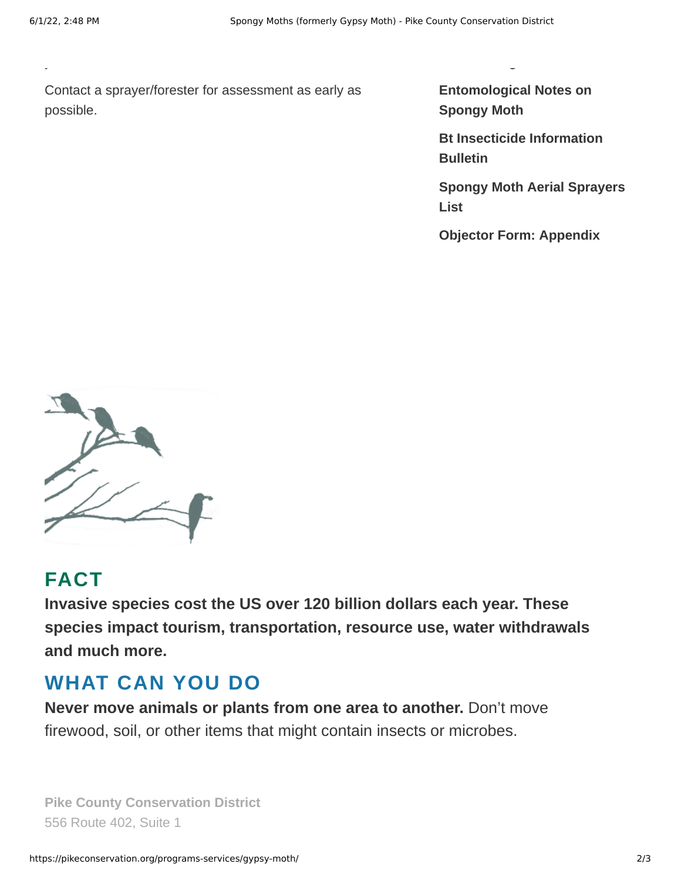your area.

Contact a sprayer/forester for assessment as early as possible.

**[Entomological Notes on](https://pikeconservation.org/wp-content/uploads/Entomological-Notes-GM-PSU.pdf) Spongy Moth**

**Moth Management**

**[Bt Insecticide Information](https://pikeconservation.org/wp-content/uploads/BT_Insecticide_Information_Bulletin2013.pdf) Bulletin**

**[Spongy Moth Aerial Sprayers](https://pikeconservation.org/wp-content/uploads/2015GypsyMothAerial_Sprayers_List.pdf) List**

**[Objector Form: Appendix](https://pikeconservation.org/wp-content/uploads/GM_Objector_form-J.pdf)** 



#### **FACT**

**Invasive species cost the US over 120 billion dollars each year. These species impact tourism, transportation, resource use, water withdrawals and much more.**

## **WHAT CAN YOU DO**

**Never move animals or plants from one area to another.** Don't move firewood, soil, or other items that might contain insects or microbes.

**Pike County Conservation District** 556 Route 402, Suite 1